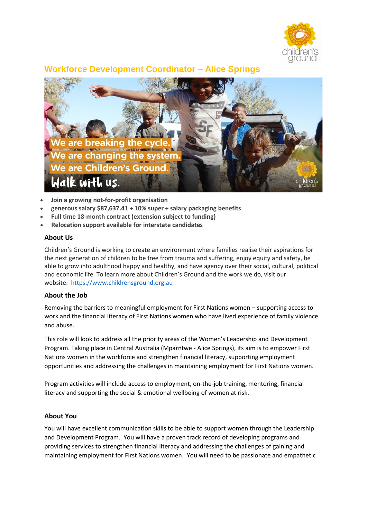

# **Workforce Development Coordinator – Alice Springs**



- **Join a growing not-for-profit organisation**
- **generous salary \$87,637.41 + 10% super + salary packaging benefits**
- **Full time 18-month contract (extension subject to funding)**
- **Relocation support available for interstate candidates**

#### **About Us**

Children's Ground is working to create an environment where families realise their aspirations for the next generation of children to be free from trauma and suffering, enjoy equity and safety, be able to grow into adulthood happy and healthy, and have agency over their social, cultural, political and economic life. To learn more about Children's Ground and the work we do, visit our website: [https://www.childrensground.org.au](https://www.childrensground.org.au/)

## **About the Job**

Removing the barriers to meaningful employment for First Nations women – supporting access to work and the financial literacy of First Nations women who have lived experience of family violence and abuse.

This role will look to address all the priority areas of the Women's Leadership and Development Program. Taking place in Central Australia (Mparntwe - Alice Springs), its aim is to empower First Nations women in the workforce and strengthen financial literacy, supporting employment opportunities and addressing the challenges in maintaining employment for First Nations women.

Program activities will include access to employment, on-the-job training, mentoring, financial literacy and supporting the social & emotional wellbeing of women at risk.

## **About You**

You will have excellent communication skills to be able to support women through the Leadership and Development Program. You will have a proven track record of developing programs and providing services to strengthen financial literacy and addressing the challenges of gaining and maintaining employment for First Nations women. You will need to be passionate and empathetic